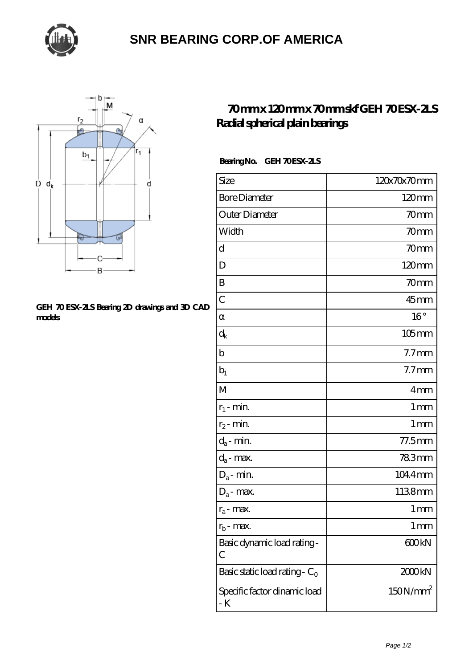

# **[SNR BEARING CORP.OF AMERICA](https://thebestofquebec.com)**



#### **[GEH 70 ESX-2LS Bearing 2D drawings and 3D CAD](https://thebestofquebec.com/pic-64978369.html) [models](https://thebestofquebec.com/pic-64978369.html)**

## **[70 mm x 120 mm x 70 mm skf GEH 70 ESX-2LS](https://thebestofquebec.com/by-64978369-skf-geh-70-esx-2ls-radial-spherical-plain-bearings.html) [Radial spherical plain bearings](https://thebestofquebec.com/by-64978369-skf-geh-70-esx-2ls-radial-spherical-plain-bearings.html)**

### Bearing No. GEH 70 ESX-2LS

| Size                                      | 120x70x70mm          |
|-------------------------------------------|----------------------|
| <b>Bore Diameter</b>                      | $120 \text{mm}$      |
| Outer Diameter                            | 70mm                 |
| Width                                     | 70mm                 |
| d                                         | 70mm                 |
| D                                         | $120 \text{mm}$      |
| B                                         | 70mm                 |
| $\mathcal{C}$                             | $45$ mm              |
|                                           | $16^{\circ}$         |
| $\rm d_k$                                 | $105$ mm             |
| $\mathbf b$                               | 7.7 <sub>mm</sub>    |
| $b_1$                                     | 7.7 <sub>mm</sub>    |
| M                                         | 4mm                  |
| $r_1$ - min.                              | $1 \, \text{mm}$     |
| $r_2$ - min.                              | 1 <sub>mm</sub>      |
| $d_a$ - min.                              | 77.5mm               |
| $d_a$ - max.                              | 783mm                |
| $D_a$ - min.                              | 1044mm               |
| $D_a$ - max.                              | 1138mm               |
| $r_a$ - max.                              | 1 mm                 |
| $r_{b}$ - max.                            | 1 <sub>mm</sub>      |
| Basic dynamic load rating-<br>С           | 600kN                |
| Basic static load rating - C <sub>0</sub> | 2000kN               |
| Specific factor dinamic load<br>- K       | 150N/mm <sup>2</sup> |